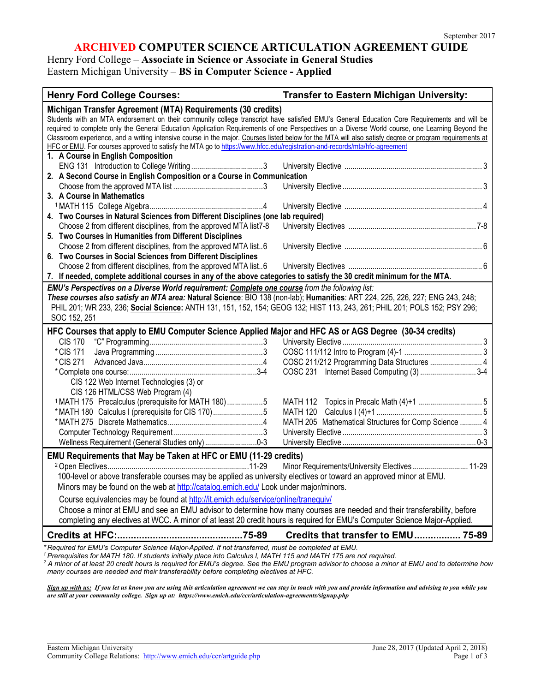#### **ARCHIVED COMPUTER SCIENCE ARTICULATION AGREEMENT GUIDE**

Henry Ford College – **Associate in Science or Associate in General Studies**

Eastern Michigan University – **BS in Computer Science - Applied**

| <b>Henry Ford College Courses:</b>                                                                                                                                                                                                                                                             | <b>Transfer to Eastern Michigan University:</b>      |  |
|------------------------------------------------------------------------------------------------------------------------------------------------------------------------------------------------------------------------------------------------------------------------------------------------|------------------------------------------------------|--|
| Michigan Transfer Agreement (MTA) Requirements (30 credits)                                                                                                                                                                                                                                    |                                                      |  |
| Students with an MTA endorsement on their community college transcript have satisfied EMU's General Education Core Requirements and will be<br>required to complete only the General Education Application Requirements of one Perspectives on a Diverse World course, one Learning Beyond the |                                                      |  |
| Classroom experience, and a writing intensive course in the major. Courses listed below for the MTA will also satisfy degree or program requirements at                                                                                                                                        |                                                      |  |
| HFC or EMU. For courses approved to satisfy the MTA go to https://www.hfcc.edu/registration-and-records/mta/hfc-agreement                                                                                                                                                                      |                                                      |  |
| 1. A Course in English Composition                                                                                                                                                                                                                                                             |                                                      |  |
|                                                                                                                                                                                                                                                                                                |                                                      |  |
| 2. A Second Course in English Composition or a Course in Communication                                                                                                                                                                                                                         |                                                      |  |
|                                                                                                                                                                                                                                                                                                |                                                      |  |
| 3. A Course in Mathematics                                                                                                                                                                                                                                                                     |                                                      |  |
|                                                                                                                                                                                                                                                                                                |                                                      |  |
| 4. Two Courses in Natural Sciences from Different Disciplines (one lab required)                                                                                                                                                                                                               |                                                      |  |
| Choose 2 from different disciplines, from the approved MTA list7-8                                                                                                                                                                                                                             |                                                      |  |
| 5. Two Courses in Humanities from Different Disciplines                                                                                                                                                                                                                                        |                                                      |  |
| Choose 2 from different disciplines, from the approved MTA list6                                                                                                                                                                                                                               |                                                      |  |
| 6. Two Courses in Social Sciences from Different Disciplines                                                                                                                                                                                                                                   |                                                      |  |
| Choose 2 from different disciplines, from the approved MTA list6                                                                                                                                                                                                                               |                                                      |  |
| 7. If needed, complete additional courses in any of the above categories to satisfy the 30 credit minimum for the MTA.                                                                                                                                                                         |                                                      |  |
| EMU's Perspectives on a Diverse World requirement: Complete one course from the following list:                                                                                                                                                                                                |                                                      |  |
| These courses also satisfy an MTA area: Natural Science: BIO 138 (non-lab); Humanities: ART 224, 225, 226, 227; ENG 243, 248;<br>PHIL 201; WR 233, 236; Social Science: ANTH 131, 151, 152, 154; GEOG 132; HIST 113, 243, 261; PHIL 201; POLS 152; PSY 296;                                    |                                                      |  |
|                                                                                                                                                                                                                                                                                                |                                                      |  |
| SOC 152, 251                                                                                                                                                                                                                                                                                   |                                                      |  |
| HFC Courses that apply to EMU Computer Science Applied Major and HFC AS or AGS Degree (30-34 credits)                                                                                                                                                                                          |                                                      |  |
| <b>CIS 170</b>                                                                                                                                                                                                                                                                                 |                                                      |  |
| * CIS 171                                                                                                                                                                                                                                                                                      |                                                      |  |
| * CIS 271                                                                                                                                                                                                                                                                                      | COSC 211/212 Programming Data Structures  4          |  |
|                                                                                                                                                                                                                                                                                                | COSC 231 Internet Based Computing (3) 3-4            |  |
| CIS 122 Web Internet Technologies (3) or                                                                                                                                                                                                                                                       |                                                      |  |
| CIS 126 HTML/CSS Web Program (4)                                                                                                                                                                                                                                                               |                                                      |  |
| <sup>1</sup> MATH 175 Precalculus (prerequisite for MATH 180)5<br>*MATH 180 Calculus I (prerequisite for CIS 170)5                                                                                                                                                                             |                                                      |  |
|                                                                                                                                                                                                                                                                                                | MATH 205 Mathematical Structures for Comp Science  4 |  |
|                                                                                                                                                                                                                                                                                                |                                                      |  |
| Wellness Requirement (General Studies only)0-3                                                                                                                                                                                                                                                 |                                                      |  |
|                                                                                                                                                                                                                                                                                                |                                                      |  |
| <b>EMU Requirements that May be Taken at HFC or EMU (11-29 credits)</b>                                                                                                                                                                                                                        |                                                      |  |
|                                                                                                                                                                                                                                                                                                | Minor Requirements/University Electives 11-29        |  |
| 100-level or above transferable courses may be applied as university electives or toward an approved minor at EMU.                                                                                                                                                                             |                                                      |  |
| Minors may be found on the web at http://catalog.emich.edu/ Look under major/minors.                                                                                                                                                                                                           |                                                      |  |
| Course equivalencies may be found at http://it.emich.edu/service/online/tranequiv/                                                                                                                                                                                                             |                                                      |  |
| Choose a minor at EMU and see an EMU advisor to determine how many courses are needed and their transferability, before                                                                                                                                                                        |                                                      |  |
| completing any electives at WCC. A minor of at least 20 credit hours is required for EMU's Computer Science Major-Applied.                                                                                                                                                                     |                                                      |  |
|                                                                                                                                                                                                                                                                                                | Credits that transfer to EMU 75-89                   |  |
| *Required for EMU's Computer Science Major-Applied. If not transferred, must be completed at EMU.                                                                                                                                                                                              |                                                      |  |

*<sup>1</sup> Prerequisites for MATH 180. If students initially place into Calculus I, MATH 115 and MATH 175 are not required.*

*<sup>2</sup> A minor of at least 20 credit hours is required for EMU's degree. See the EMU program advisor to choose a minor at EMU and to determine how many courses are needed and their transferability before completing electives at HFC.* 

*Sign up with us: If you let us know you are using this articulation agreement we can stay in touch with you and provide information and advising to you while you are still at your community college. Sign up at: https://www.emich.edu/ccr/articulation-agreements/signup.php*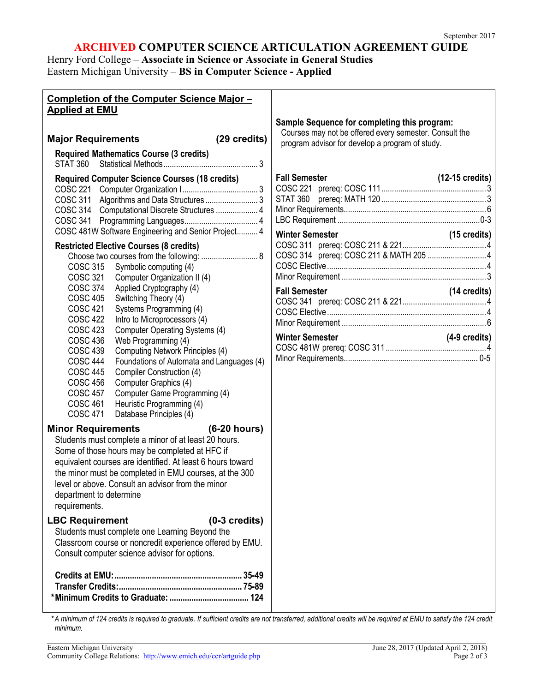# **ARCHIVED COMPUTER SCIENCE ARTICULATION AGREEMENT GUIDE**

# Henry Ford College – **Associate in Science or Associate in General Studies** Eastern Michigan University – **BS in Computer Science - Applied**

| Completion of the Computer Science Major -<br><b>Applied at EMU</b>                                                                                                                                                                                                                                                                                                                                                                                                                                                                                                                                                                                                                                                                                                                                                                                                                                                                                                                                                                                                                                                                                                                                                                                                                                                                                                                                                                                                                                                                                                                                                        |                                                                                                                                                                                          |
|----------------------------------------------------------------------------------------------------------------------------------------------------------------------------------------------------------------------------------------------------------------------------------------------------------------------------------------------------------------------------------------------------------------------------------------------------------------------------------------------------------------------------------------------------------------------------------------------------------------------------------------------------------------------------------------------------------------------------------------------------------------------------------------------------------------------------------------------------------------------------------------------------------------------------------------------------------------------------------------------------------------------------------------------------------------------------------------------------------------------------------------------------------------------------------------------------------------------------------------------------------------------------------------------------------------------------------------------------------------------------------------------------------------------------------------------------------------------------------------------------------------------------------------------------------------------------------------------------------------------------|------------------------------------------------------------------------------------------------------------------------------------------------------------------------------------------|
| <b>Major Requirements</b><br>(29 credits)                                                                                                                                                                                                                                                                                                                                                                                                                                                                                                                                                                                                                                                                                                                                                                                                                                                                                                                                                                                                                                                                                                                                                                                                                                                                                                                                                                                                                                                                                                                                                                                  | Sample Sequence for completing this program:<br>Courses may not be offered every semester. Consult the<br>program advisor for develop a program of study.                                |
| <b>Required Mathematics Course (3 credits)</b>                                                                                                                                                                                                                                                                                                                                                                                                                                                                                                                                                                                                                                                                                                                                                                                                                                                                                                                                                                                                                                                                                                                                                                                                                                                                                                                                                                                                                                                                                                                                                                             |                                                                                                                                                                                          |
| <b>Required Computer Science Courses (18 credits)</b><br>COSC 314 Computational Discrete Structures  4<br>COSC 481W Software Engineering and Senior Project 4<br><b>Restricted Elective Courses (8 credits)</b><br>Choose two courses from the following:  8<br><b>COSC 315</b><br>Symbolic computing (4)<br><b>COSC 321</b><br>Computer Organization II (4)<br><b>COSC 374</b><br>Applied Cryptography (4)<br>Switching Theory (4)<br><b>COSC 405</b><br>COSC 421<br>Systems Programming (4)<br><b>COSC 422</b><br>Intro to Microprocessors (4)<br><b>COSC 423</b><br>Computer Operating Systems (4)<br><b>COSC 436</b><br>Web Programming (4)<br>Computing Network Principles (4)<br><b>COSC 439</b><br><b>COSC 444</b><br>Foundations of Automata and Languages (4)<br>Compiler Construction (4)<br><b>COSC 445</b><br><b>COSC 456</b><br>Computer Graphics (4)<br><b>COSC 457</b><br>Computer Game Programming (4)<br><b>COSC 461</b><br>Heuristic Programming (4)<br><b>COSC 471</b><br>Database Principles (4)<br><b>Minor Requirements</b><br>$(6-20 hours)$<br>Students must complete a minor of at least 20 hours.<br>Some of those hours may be completed at HFC if<br>equivalent courses are identified. At least 6 hours toward<br>the minor must be completed in EMU courses, at the 300<br>level or above. Consult an advisor from the minor<br>department to determine<br>requirements.<br><b>LBC Requirement</b><br>$(0-3 \text{ credits})$<br>Students must complete one Learning Beyond the<br>Classroom course or noncredit experience offered by EMU.<br>Consult computer science advisor for options. | <b>Fall Semester</b><br>$(12-15 \text{ credits})$<br>(15 credits)<br><b>Winter Semester</b><br><b>Fall Semester</b><br>$(14 \text{ credits})$<br><b>Winter Semester</b><br>(4-9 credits) |

*\* A minimum of 124 credits is required to graduate. If sufficient credits are not transferred, additional credits will be required at EMU to satisfy the 124 credit minimum.*